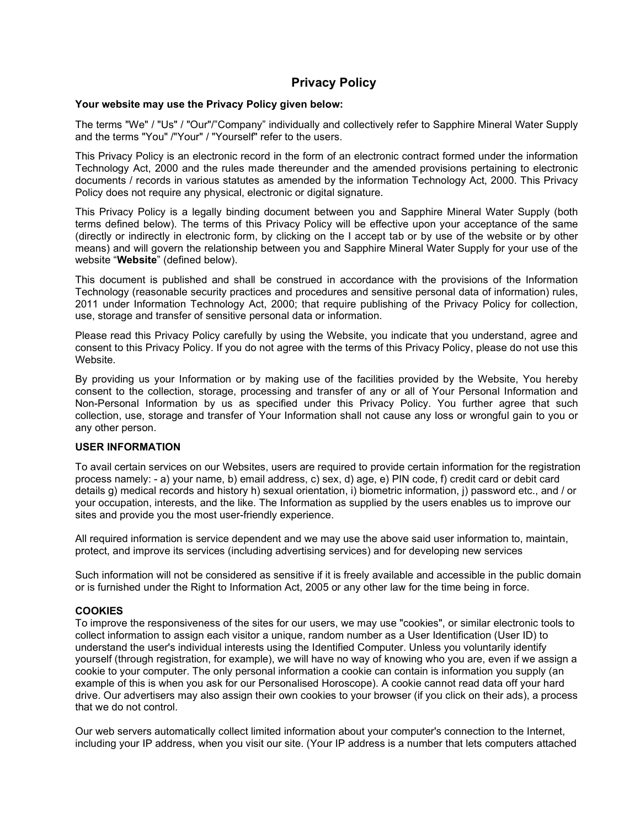# Privacy Policy

### Your website may use the Privacy Policy given below:

The terms "We" / "Us" / "Our"/"Company" individually and collectively refer to Sapphire Mineral Water Supply and the terms "You" /"Your" / "Yourself" refer to the users.

This Privacy Policy is an electronic record in the form of an electronic contract formed under the information Technology Act, 2000 and the rules made thereunder and the amended provisions pertaining to electronic documents / records in various statutes as amended by the information Technology Act, 2000. This Privacy Policy does not require any physical, electronic or digital signature.

This Privacy Policy is a legally binding document between you and Sapphire Mineral Water Supply (both terms defined below). The terms of this Privacy Policy will be effective upon your acceptance of the same (directly or indirectly in electronic form, by clicking on the I accept tab or by use of the website or by other means) and will govern the relationship between you and Sapphire Mineral Water Supply for your use of the website "Website" (defined below).

This document is published and shall be construed in accordance with the provisions of the Information Technology (reasonable security practices and procedures and sensitive personal data of information) rules, 2011 under Information Technology Act, 2000; that require publishing of the Privacy Policy for collection, use, storage and transfer of sensitive personal data or information.

Please read this Privacy Policy carefully by using the Website, you indicate that you understand, agree and consent to this Privacy Policy. If you do not agree with the terms of this Privacy Policy, please do not use this Website.

By providing us your Information or by making use of the facilities provided by the Website, You hereby consent to the collection, storage, processing and transfer of any or all of Your Personal Information and Non-Personal Information by us as specified under this Privacy Policy. You further agree that such collection, use, storage and transfer of Your Information shall not cause any loss or wrongful gain to you or any other person.

## USER INFORMATION

To avail certain services on our Websites, users are required to provide certain information for the registration process namely: - a) your name, b) email address, c) sex, d) age, e) PIN code, f) credit card or debit card details g) medical records and history h) sexual orientation, i) biometric information, j) password etc., and / or your occupation, interests, and the like. The Information as supplied by the users enables us to improve our sites and provide you the most user-friendly experience.

All required information is service dependent and we may use the above said user information to, maintain, protect, and improve its services (including advertising services) and for developing new services

Such information will not be considered as sensitive if it is freely available and accessible in the public domain or is furnished under the Right to Information Act, 2005 or any other law for the time being in force.

## **COOKIES**

To improve the responsiveness of the sites for our users, we may use "cookies", or similar electronic tools to collect information to assign each visitor a unique, random number as a User Identification (User ID) to understand the user's individual interests using the Identified Computer. Unless you voluntarily identify yourself (through registration, for example), we will have no way of knowing who you are, even if we assign a cookie to your computer. The only personal information a cookie can contain is information you supply (an example of this is when you ask for our Personalised Horoscope). A cookie cannot read data off your hard drive. Our advertisers may also assign their own cookies to your browser (if you click on their ads), a process that we do not control.

Our web servers automatically collect limited information about your computer's connection to the Internet, including your IP address, when you visit our site. (Your IP address is a number that lets computers attached